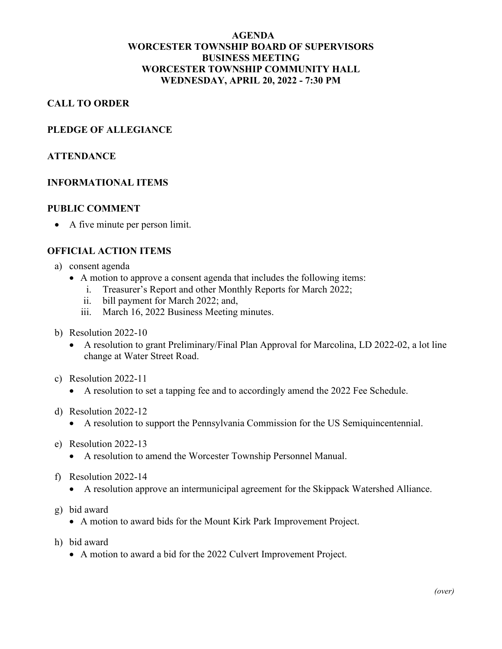## **AGENDA WORCESTER TOWNSHIP BOARD OF SUPERVISORS BUSINESS MEETING WORCESTER TOWNSHIP COMMUNITY HALL WEDNESDAY, APRIL 20, 2022 - 7:30 PM**

### **CALL TO ORDER**

#### **PLEDGE OF ALLEGIANCE**

#### **ATTENDANCE**

#### **INFORMATIONAL ITEMS**

#### **PUBLIC COMMENT**

• A five minute per person limit.

#### **OFFICIAL ACTION ITEMS**

- a) consent agenda
	- A motion to approve a consent agenda that includes the following items:
		- i. Treasurer's Report and other Monthly Reports for March 2022;
		- ii. bill payment for March 2022; and,
		- iii. March 16, 2022 Business Meeting minutes.
- b) Resolution 2022-10
	- A resolution to grant Preliminary/Final Plan Approval for Marcolina, LD 2022-02, a lot line change at Water Street Road.
- c) Resolution 2022-11
	- A resolution to set a tapping fee and to accordingly amend the 2022 Fee Schedule.
- d) Resolution 2022-12
	- A resolution to support the Pennsylvania Commission for the US Semiquincentennial.
- e) Resolution 2022-13
	- A resolution to amend the Worcester Township Personnel Manual.
- f) Resolution 2022-14
	- A resolution approve an intermunicipal agreement for the Skippack Watershed Alliance.
- g) bid award
	- A motion to award bids for the Mount Kirk Park Improvement Project.
- h) bid award
	- A motion to award a bid for the 2022 Culvert Improvement Project.